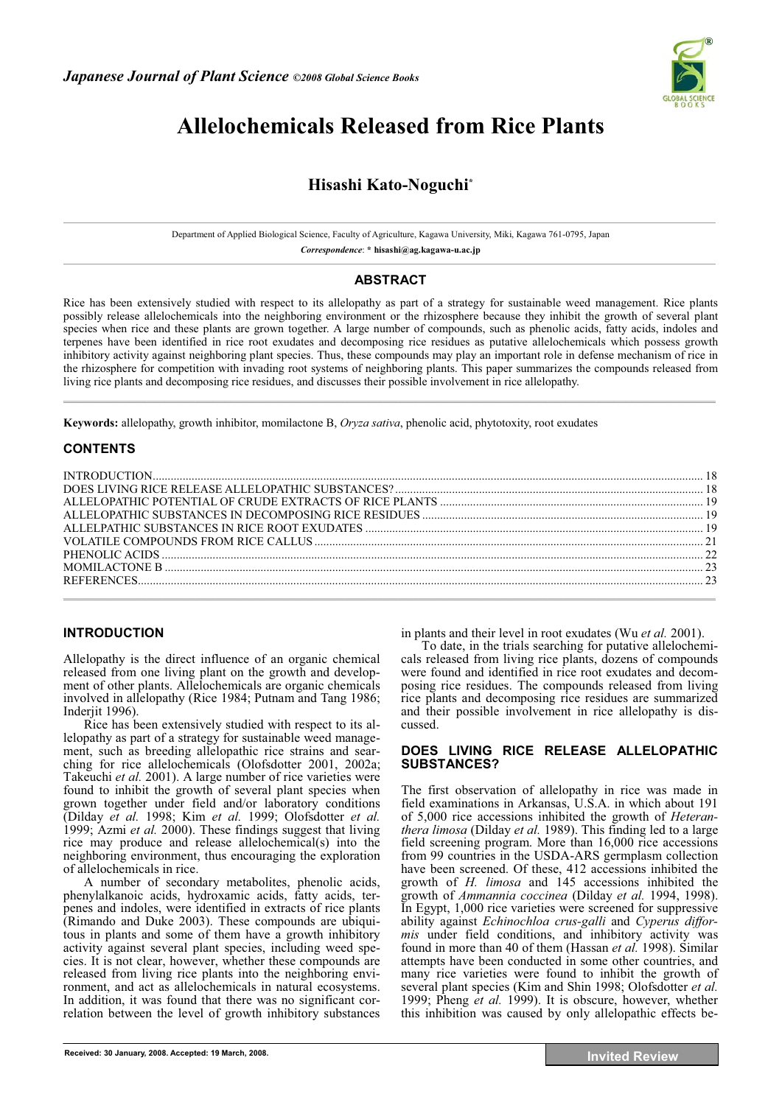

# **Allelochemicals Released from Rice Plants**

## **Hisashi Kato-Noguchi\***

Department of Applied Biological Science, Faculty of Agriculture, Kagawa University, Miki, Kagawa 761-0795, Japan

*Correspondence*: **\* hisashi@ag.kagawa-u.ac.jp** 

## **ABSTRACT**

Rice has been extensively studied with respect to its allelopathy as part of a strategy for sustainable weed management. Rice plants possibly release allelochemicals into the neighboring environment or the rhizosphere because they inhibit the growth of several plant species when rice and these plants are grown together. A large number of compounds, such as phenolic acids, fatty acids, indoles and terpenes have been identified in rice root exudates and decomposing rice residues as putative allelochemicals which possess growth inhibitory activity against neighboring plant species. Thus, these compounds may play an important role in defense mechanism of rice in the rhizosphere for competition with invading root systems of neighboring plants. This paper summarizes the compounds released from living rice plants and decomposing rice residues, and discusses their possible involvement in rice allelopathy. **\_\_\_\_\_\_\_\_\_\_\_\_\_\_\_\_\_\_\_\_\_\_\_\_\_\_\_\_\_\_\_\_\_\_\_\_\_\_\_\_\_\_\_\_\_\_\_\_\_\_\_\_\_\_\_\_\_\_\_\_\_\_\_\_\_\_\_\_\_\_\_\_\_\_\_\_\_\_\_\_\_\_\_\_\_\_\_\_\_\_\_\_\_\_\_\_\_\_\_\_\_\_\_\_\_\_\_\_\_**

**Keywords:** allelopathy, growth inhibitor, momilactone B, *Oryza sativa*, phenolic acid, phytotoxity, root exudates

## **CONTENTS**

### **INTRODUCTION**

Allelopathy is the direct influence of an organic chemical released from one living plant on the growth and development of other plants. Allelochemicals are organic chemicals involved in allelopathy (Rice 1984; Putnam and Tang 1986; Inderjit 1996).

Rice has been extensively studied with respect to its allelopathy as part of a strategy for sustainable weed management, such as breeding allelopathic rice strains and searching for rice allelochemicals (Olofsdotter 2001, 2002a; Takeuchi *et al.* 2001). A large number of rice varieties were found to inhibit the growth of several plant species when grown together under field and/or laboratory conditions (Dilday *et al.* 1998; Kim *et al.* 1999; Olofsdotter *et al.* 1999; Azmi *et al.* 2000). These findings suggest that living rice may produce and release allelochemical(s) into the neighboring environment, thus encouraging the exploration of allelochemicals in rice.

A number of secondary metabolites, phenolic acids, phenylalkanoic acids, hydroxamic acids, fatty acids, terpenes and indoles, were identified in extracts of rice plants (Rimando and Duke 2003). These compounds are ubiquitous in plants and some of them have a growth inhibitory activity against several plant species, including weed species. It is not clear, however, whether these compounds are released from living rice plants into the neighboring environment, and act as allelochemicals in natural ecosystems. In addition, it was found that there was no significant correlation between the level of growth inhibitory substances

in plants and their level in root exudates (Wu *et al.* 2001).

To date, in the trials searching for putative allelochemicals released from living rice plants, dozens of compounds were found and identified in rice root exudates and decomposing rice residues. The compounds released from living rice plants and decomposing rice residues are summarized and their possible involvement in rice allelopathy is discussed.

#### **DOES LIVING RICE RELEASE ALLELOPATHIC SUBSTANCES?**

The first observation of allelopathy in rice was made in field examinations in Arkansas, U.S.A. in which about 191 of 5,000 rice accessions inhibited the growth of *Heteranthera limosa* (Dilday *et al.* 1989). This finding led to a large field screening program. More than 16,000 rice accessions from 99 countries in the USDA-ARS germplasm collection have been screened. Of these, 412 accessions inhibited the growth of *H. limosa* and 145 accessions inhibited the growth of *Ammannia coccinea* (Dilday *et al.* 1994, 1998). In Egypt, 1,000 rice varieties were screened for suppressive ability against *Echinochloa crus-galli* and *Cyperus difformis* under field conditions, and inhibitory activity was found in more than 40 of them (Hassan *et al.* 1998). Similar attempts have been conducted in some other countries, and many rice varieties were found to inhibit the growth of several plant species (Kim and Shin 1998; Olofsdotter *et al.* 1999; Pheng *et al.* 1999). It is obscure, however, whether this inhibition was caused by only allelopathic effects be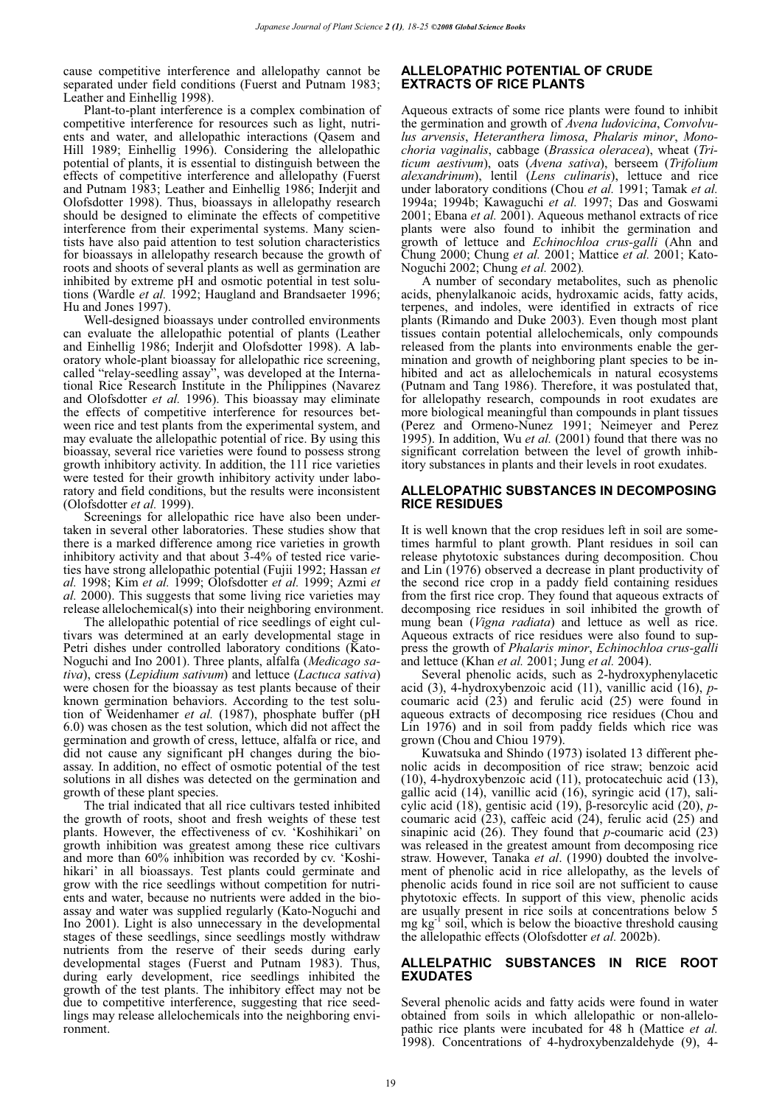cause competitive interference and allelopathy cannot be separated under field conditions (Fuerst and Putnam 1983; Leather and Einhellig 1998).

Plant-to-plant interference is a complex combination of competitive interference for resources such as light, nutrients and water, and allelopathic interactions (Qasem and Hill 1989; Einhellig 1996). Considering the allelopathic potential of plants, it is essential to distinguish between the effects of competitive interference and allelopathy (Fuerst and Putnam 1983; Leather and Einhellig 1986; Inderjit and Olofsdotter 1998). Thus, bioassays in allelopathy research should be designed to eliminate the effects of competitive interference from their experimental systems. Many scientists have also paid attention to test solution characteristics for bioassays in allelopathy research because the growth of roots and shoots of several plants as well as germination are inhibited by extreme pH and osmotic potential in test solutions (Wardle *et al.* 1992; Haugland and Brandsaeter 1996; Hu and Jones 1997).

Well-designed bioassays under controlled environments can evaluate the allelopathic potential of plants (Leather and Einhellig 1986; Inderjit and Olofsdotter 1998). A laboratory whole-plant bioassay for allelopathic rice screening, called "relay-seedling assay", was developed at the International Rice Research Institute in the Philippines (Navarez and Olofsdotter *et al.* 1996). This bioassay may eliminate the effects of competitive interference for resources between rice and test plants from the experimental system, and may evaluate the allelopathic potential of rice. By using this bioassay, several rice varieties were found to possess strong growth inhibitory activity. In addition, the 111 rice varieties were tested for their growth inhibitory activity under laboratory and field conditions, but the results were inconsistent (Olofsdotter *et al.* 1999).

Screenings for allelopathic rice have also been undertaken in several other laboratories. These studies show that there is a marked difference among rice varieties in growth inhibitory activity and that about  $3-4\%$  of tested rice varieties have strong allelopathic potential (Fujii 1992; Hassan *et al.* 1998; Kim *et al.* 1999; Olofsdotter *et al.* 1999; Azmi *et al.* 2000). This suggests that some living rice varieties may release allelochemical(s) into their neighboring environment.

The allelopathic potential of rice seedlings of eight cultivars was determined at an early developmental stage in Petri dishes under controlled laboratory conditions (Kato-Noguchi and Ino 2001). Three plants, alfalfa (*Medicago sativa*), cress (*Lepidium sativum*) and lettuce (*Lactuca sativa*) were chosen for the bioassay as test plants because of their known germination behaviors. According to the test solution of Weidenhamer *et al.* (1987), phosphate buffer (pH 6.0) was chosen as the test solution, which did not affect the germination and growth of cress, lettuce, alfalfa or rice, and did not cause any significant pH changes during the bioassay. In addition, no effect of osmotic potential of the test solutions in all dishes was detected on the germination and growth of these plant species.

The trial indicated that all rice cultivars tested inhibited the growth of roots, shoot and fresh weights of these test plants. However, the effectiveness of cv. 'Koshihikari' on growth inhibition was greatest among these rice cultivars and more than 60% inhibition was recorded by cv. 'Koshihikari' in all bioassays. Test plants could germinate and grow with the rice seedlings without competition for nutrients and water, because no nutrients were added in the bioassay and water was supplied regularly (Kato-Noguchi and Ino 2001). Light is also unnecessary in the developmental stages of these seedlings, since seedlings mostly withdraw nutrients from the reserve of their seeds during early developmental stages (Fuerst and Putnam 1983). Thus, during early development, rice seedlings inhibited the growth of the test plants. The inhibitory effect may not be due to competitive interference, suggesting that rice seedlings may release allelochemicals into the neighboring environment.

#### **ALLELOPATHIC POTENTIAL OF CRUDE EXTRACTS OF RICE PLANTS**

Aqueous extracts of some rice plants were found to inhibit the germination and growth of *Avena ludovicina*, *Convolvulus arvensis*, *Heteranthera limosa*, *Phalaris minor*, *Monochoria vaginalis*, cabbage (*Brassica oleracea*), wheat (*Triticum aestivum*), oats (*Avena sativa*), berseem (*Trifolium alexandrinum*), lentil (*Lens culinaris*), lettuce and rice under laboratory conditions (Chou *et al.* 1991; Tamak *et al.* 1994a; 1994b; Kawaguchi *et al.* 1997; Das and Goswami 2001; Ebana *et al.* 2001). Aqueous methanol extracts of rice plants were also found to inhibit the germination and growth of lettuce and *Echinochloa crus-galli* (Ahn and Chung 2000; Chung *et al.* 2001; Mattice *et al.* 2001; Kato-Noguchi 2002; Chung *et al.* 2002)*.*

A number of secondary metabolites, such as phenolic acids, phenylalkanoic acids, hydroxamic acids, fatty acids, terpenes, and indoles, were identified in extracts of rice plants (Rimando and Duke 2003). Even though most plant tissues contain potential allelochemicals, only compounds released from the plants into environments enable the germination and growth of neighboring plant species to be inhibited and act as allelochemicals in natural ecosystems (Putnam and Tang 1986). Therefore, it was postulated that, for allelopathy research, compounds in root exudates are more biological meaningful than compounds in plant tissues (Perez and Ormeno-Nunez 1991; Neimeyer and Perez 1995). In addition, Wu *et al.* (2001) found that there was no significant correlation between the level of growth inhibitory substances in plants and their levels in root exudates.

#### **ALLELOPATHIC SUBSTANCES IN DECOMPOSING RICE RESIDUES**

It is well known that the crop residues left in soil are sometimes harmful to plant growth. Plant residues in soil can release phytotoxic substances during decomposition. Chou and Lin (1976) observed a decrease in plant productivity of the second rice crop in a paddy field containing residues from the first rice crop. They found that aqueous extracts of decomposing rice residues in soil inhibited the growth of mung bean (*Vigna radiata*) and lettuce as well as rice. Aqueous extracts of rice residues were also found to suppress the growth of *Phalaris minor*, *Echinochloa crus-galli*  and lettuce (Khan *et al.* 2001; Jung *et al.* 2004).

Several phenolic acids, such as 2-hydroxyphenylacetic acid (3), 4-hydroxybenzoic acid (11), vanillic acid (16),  $p$ coumaric acid (23) and ferulic acid (25) were found in aqueous extracts of decomposing rice residues (Chou and Lin 1976) and in soil from paddy fields which rice was grown (Chou and Chiou 1979).

Kuwatsuka and Shindo (1973) isolated 13 different phenolic acids in decomposition of rice straw; benzoic acid (10), 4-hydroxybenzoic acid (11), protocatechuic acid (13), gallic acid (14), vanillic acid (16), syringic acid (17), salicylic acid (18), gentisic acid (19),  $\beta$ -resorcylic acid (20), *p*coumaric acid (23), caffeic acid (24), ferulic acid (25) and sinapinic acid (26). They found that *p*-coumaric acid (23) was released in the greatest amount from decomposing rice straw. However, Tanaka *et al*. (1990) doubted the involvement of phenolic acid in rice allelopathy, as the levels of phenolic acids found in rice soil are not sufficient to cause phytotoxic effects. In support of this view, phenolic acids are usually present in rice soils at concentrations below 5  $mg \, kg^{-1}$  soil, which is below the bioactive threshold causing the allelopathic effects (Olofsdotter *et al.* 2002b).

#### **ALLELPATHIC SUBSTANCES IN RICE ROOT EXUDATES**

Several phenolic acids and fatty acids were found in water obtained from soils in which allelopathic or non-allelopathic rice plants were incubated for 48 h (Mattice *et al.* 1998). Concentrations of 4-hydroxybenzaldehyde (9), 4-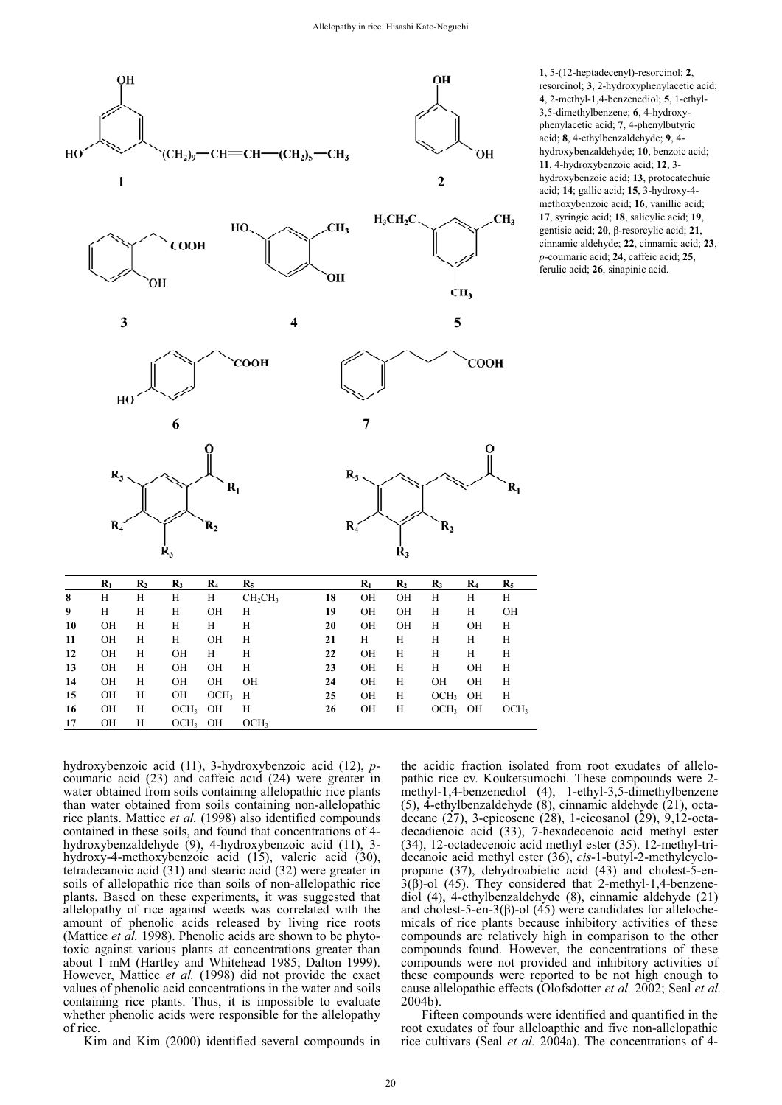

**1**, 5-(12-heptadecenyl)-resorcinol; **2**, resorcinol; **3**, 2-hydroxyphenylacetic acid; **4**, 2-methyl-1,4-benzenediol; **5**, 1-ethyl-3,5-dimethylbenzene; **6**, 4-hydroxyphenylacetic acid; **7**, 4-phenylbutyric acid; **8**, 4-ethylbenzaldehyde; **9**, 4 hydroxybenzaldehyde; **10**, benzoic acid; **11**, 4-hydroxybenzoic acid; **12**, 3 hydroxybenzoic acid; **13**, protocatechuic acid; **14**; gallic acid; **15**, 3-hydroxy-4 methoxybenzoic acid; **16**, vanillic acid; **17**, syringic acid; **18**, salicylic acid; **19**, gentisic acid;  $20$ ,  $\beta$ -resorcylic acid;  $21$ , cinnamic aldehyde; **22**, cinnamic acid; **23**, *p*-coumaric acid; **24**, caffeic acid; **25**, ferulic acid; **26**, sinapinic acid.

hydroxybenzoic acid (11), 3-hydroxybenzoic acid (12), *p*coumaric acid (23) and caffeic acid (24) were greater in water obtained from soils containing allelopathic rice plants than water obtained from soils containing non-allelopathic rice plants. Mattice *et al.* (1998) also identified compounds contained in these soils, and found that concentrations of 4 hydroxybenzaldehyde (9), 4-hydroxybenzoic acid (11), 3 hydroxy-4-methoxybenzoic acid (15), valeric acid (30), tetradecanoic acid (31) and stearic acid (32) were greater in soils of allelopathic rice than soils of non-allelopathic rice plants. Based on these experiments, it was suggested that allelopathy of rice against weeds was correlated with the amount of phenolic acids released by living rice roots (Mattice *et al.* 1998). Phenolic acids are shown to be phytotoxic against various plants at concentrations greater than about 1 mM (Hartley and Whitehead 1985; Dalton 1999). However, Mattice *et al.* (1998) did not provide the exact values of phenolic acid concentrations in the water and soils containing rice plants. Thus, it is impossible to evaluate whether phenolic acids were responsible for the allelopathy of rice.

Kim and Kim (2000) identified several compounds in

the acidic fraction isolated from root exudates of allelopathic rice cv. Kouketsumochi. These compounds were 2 methyl-1,4-benzenediol (4), 1-ethyl-3,5-dimethylbenzene (5), 4-ethylbenzaldehyde (8), cinnamic aldehyde (21), octadecane (27), 3-epicosene (28), 1-eicosanol (29), 9,12-octadecadienoic acid (33), 7-hexadecenoic acid methyl ester (34), 12-octadecenoic acid methyl ester (35). 12-methyl-tridecanoic acid methyl ester (36), *cis*-1-butyl-2-methylcyclopropane (37), dehydroabietic acid (43) and cholest-5-en- $3(\beta)$ -ol (45). They considered that 2-methyl-1,4-benzenediol (4), 4-ethylbenzaldehyde (8), cinnamic aldehyde (21) and cholest-5-en-3( $\beta$ )-ol (45) were candidates for allelochemicals of rice plants because inhibitory activities of these compounds are relatively high in comparison to the other compounds found. However, the concentrations of these compounds were not provided and inhibitory activities of these compounds were reported to be not high enough to cause allelopathic effects (Olofsdotter *et al.* 2002; Seal *et al.* 2004b).

Fifteen compounds were identified and quantified in the root exudates of four alleloapthic and five non-allelopathic rice cultivars (Seal *et al.* 2004a). The concentrations of 4-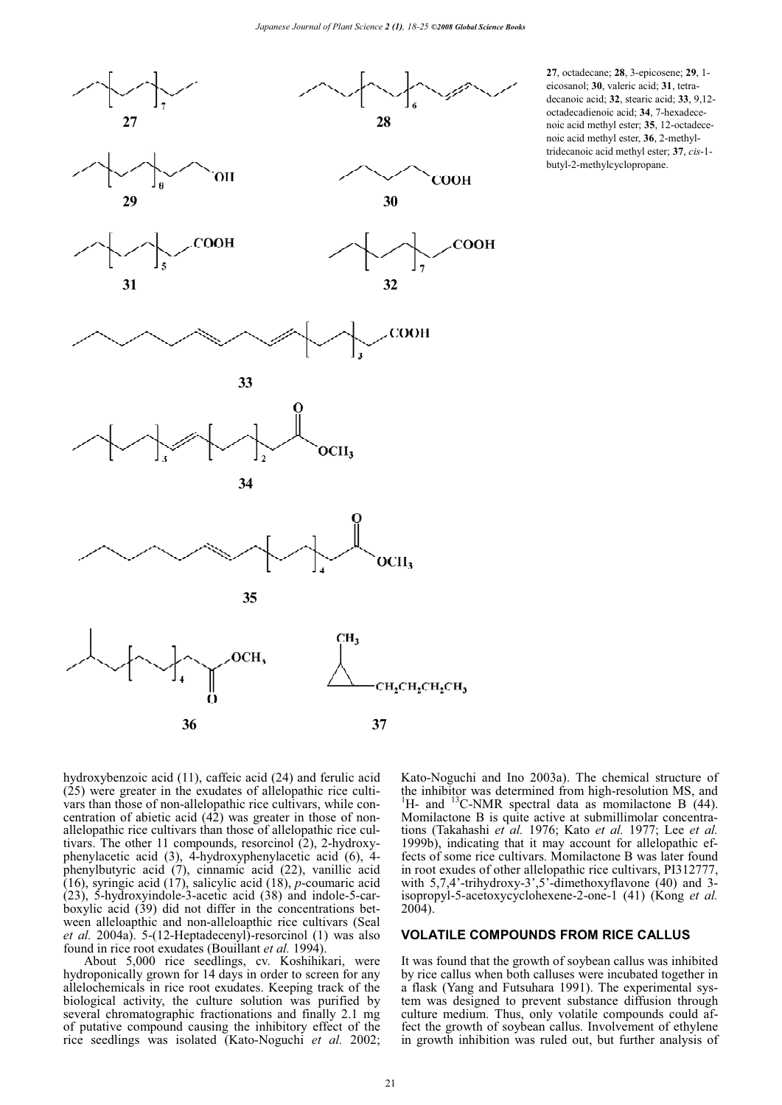

**27**, octadecane; **28**, 3-epicosene; **29**, 1 eicosanol; **30**, valeric acid; **31**, tetradecanoic acid; **32**, stearic acid; **33**, 9,12 octadecadienoic acid; **34**, 7-hexadecenoic acid methyl ester; **35**, 12-octadecenoic acid methyl ester, **36**, 2-methyltridecanoic acid methyl ester; **37**, *cis*-1 butyl-2-methylcyclopropane.

hydroxybenzoic acid (11), caffeic acid (24) and ferulic acid (25) were greater in the exudates of allelopathic rice cultivars than those of non-allelopathic rice cultivars, while concentration of abietic acid  $(42)$  was greater in those of nonallelopathic rice cultivars than those of allelopathic rice cultivars. The other 11 compounds, resorcinol (2), 2-hydroxyphenylacetic acid (3), 4-hydroxyphenylacetic acid (6), 4 phenylbutyric acid (7), cinnamic acid (22), vanillic acid (16), syringic acid (17), salicylic acid (18), *p*-coumaric acid  $(23)$ , 5-hydroxyindole-3-acetic acid  $(38)$  and indole-5-carboxylic acid (39) did not differ in the concentrations between alleloapthic and non-alleloapthic rice cultivars (Seal *et al.* 2004a). 5-(12-Heptadecenyl)-resorcinol (1) was also found in rice root exudates (Bouillant *et al.* 1994).

About 5,000 rice seedlings, cv. Koshihikari, were hydroponically grown for 14 days in order to screen for any allelochemicals in rice root exudates. Keeping track of the biological activity, the culture solution was purified by several chromatographic fractionations and finally 2.1 mg of putative compound causing the inhibitory effect of the rice seedlings was isolated (Kato-Noguchi *et al.* 2002; Kato-Noguchi and Ino 2003a). The chemical structure of the inhibitor was determined from high-resolution MS, and <sup>1</sup>H- and <sup>13</sup>C-NMR spectral data as momilactone B  $(44)$ . Momilactone B is quite active at submillimolar concentrations (Takahashi *et al.* 1976; Kato *et al.* 1977; Lee *et al.* 1999b), indicating that it may account for allelopathic effects of some rice cultivars. Momilactone B was later found in root exudes of other allelopathic rice cultivars, PI312777, with 5,7,4'-trihydroxy-3',5'-dimethoxyflavone (40) and 3isopropyl-5-acetoxycyclohexene-2-one-1 (41) (Kong *et al.* 2004).

#### **VOLATILE COMPOUNDS FROM RICE CALLUS**

It was found that the growth of soybean callus was inhibited by rice callus when both calluses were incubated together in a flask (Yang and Futsuhara 1991). The experimental system was designed to prevent substance diffusion through culture medium. Thus, only volatile compounds could affect the growth of soybean callus. Involvement of ethylene in growth inhibition was ruled out, but further analysis of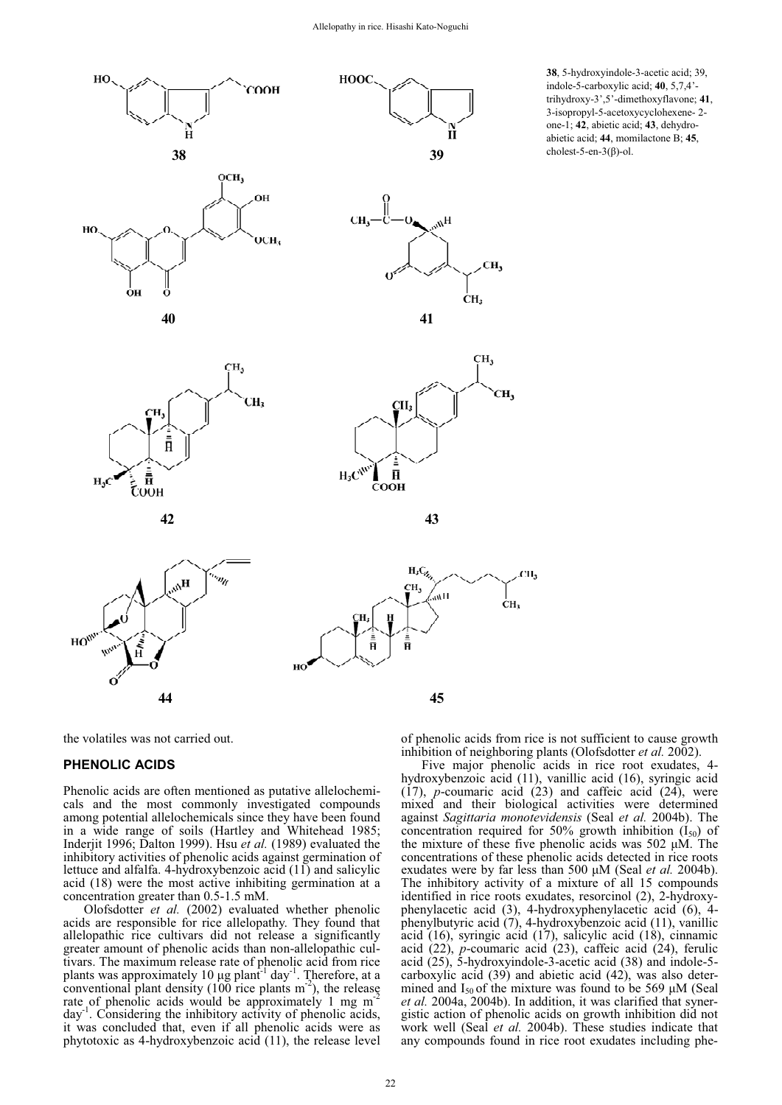HOOC





**38**, 5-hydroxyindole-3-acetic acid; 39, indole-5-carboxylic acid; **40**, 5,7,4' trihydroxy-3',5'-dimethoxyflavone; **41**, 3-isopropyl-5-acetoxycyclohexene- 2 one-1; **42**, abietic acid; **43**, dehydroabietic acid; **44**, momilactone B; **45**,  $cholest-5-en-3( $\beta$ )-ol.$ 





 $H_3C_{\chi_{\lambda}}$ 

 $H/m$ 

CH<sub>3</sub>



the volatiles was not carried out.

#### **PHENOLIC ACIDS**

Phenolic acids are often mentioned as putative allelochemicals and the most commonly investigated compounds among potential allelochemicals since they have been found in a wide range of soils (Hartley and Whitehead 1985; Inderjit 1996; Dalton 1999). Hsu *et al.* (1989) evaluated the inhibitory activities of phenolic acids against germination of lettuce and alfalfa. 4-hydroxybenzoic acid (11) and salicylic acid (18) were the most active inhibiting germination at a concentration greater than 0.5-1.5 mM.

Olofsdotter *et al.* (2002) evaluated whether phenolic acids are responsible for rice allelopathy. They found that allelopathic rice cultivars did not release a significantly greater amount of phenolic acids than non-allelopathic cultivars. The maximum release rate of phenolic acid from rice plants was approximately 10  $\mu$ g plant<sup>-1</sup> day<sup>-1</sup>. Therefore, at a conventional plant density (100 rice plants  $m<sup>-2</sup>$ ), the release rate of phenolic acids would be approximately 1 mg m<sup>-</sup>day<sup>-1</sup>. Considering the inhibitory activity of phenolic acids . Considering the inhibitory activity of phenolic acids, it was concluded that, even if all phenolic acids were as phytotoxic as 4-hydroxybenzoic acid (11), the release level of phenolic acids from rice is not sufficient to cause growth inhibition of neighboring plants (Olofsdotter *et al.* 2002).

CH<sub>3</sub>

ċн.

Five major phenolic acids in rice root exudates, 4 hydroxybenzoic acid (11), vanillic acid (16), syringic acid  $(17)$ , *p*-coumaric acid  $(23)$  and caffeic acid  $(24)$ , were mixed and their biological activities were determined against *Sagittaria monotevidensis* (Seal *et al.* 2004b). The concentration required for 50% growth inhibition  $(I_{50})$  of the mixture of these five phenolic acids was  $502 \mu M$ . The concentrations of these phenolic acids detected in rice roots exudates were by far less than 500  $\mu$ M (Seal *et al.* 2004b). The inhibitory activity of a mixture of all 15 compounds identified in rice roots exudates, resorcinol (2), 2-hydroxyphenylacetic acid (3), 4-hydroxyphenylacetic acid (6), 4 phenylbutyric acid (7), 4-hydroxybenzoic acid (11), vanillic acid (16), syringic acid (17), salicylic acid (18), cinnamic acid (22), *p*-coumaric acid (23), caffeic acid (24), ferulic acid (25), 5-hydroxyindole-3-acetic acid (38) and indole-5 carboxylic acid (39) and abietic acid (42), was also determined and  $I_{50}$  of the mixture was found to be 569  $\mu$ M (Seal *et al.* 2004a, 2004b). In addition, it was clarified that synergistic action of phenolic acids on growth inhibition did not work well (Seal *et al.* 2004b). These studies indicate that any compounds found in rice root exudates including phe-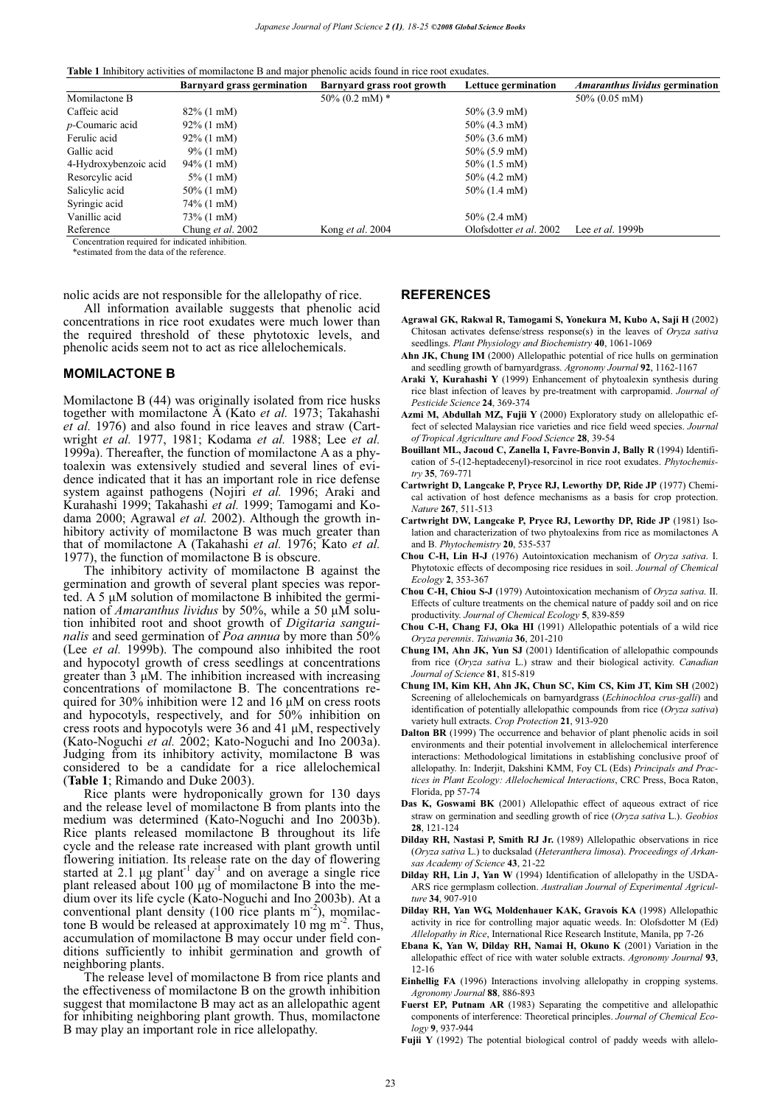**Table 1** Inhibitory activities of momilactone B and major phenolic acids found in rice root exudates.

|                                                  | <b>Barnyard grass germination</b> | Barnyard grass root growth | Lettuce germination     | <b>Amaranthus lividus germination</b> |
|--------------------------------------------------|-----------------------------------|----------------------------|-------------------------|---------------------------------------|
| Momilactone B                                    |                                   | $50\%$ (0.2 mM) $*$        |                         | $50\% (0.05 \text{ mM})$              |
| Caffeic acid                                     | $82\%$ (1 mM)                     |                            | $50\%$ (3.9 mM)         |                                       |
| $p$ -Coumaric acid                               | $92\%$ (1 mM)                     |                            | $50\%$ (4.3 mM)         |                                       |
| Ferulic acid                                     | $92\%$ (1 mM)                     |                            | $50\%$ (3.6 mM)         |                                       |
| Gallic acid                                      | $9\%$ (1 mM)                      |                            | $50\%$ (5.9 mM)         |                                       |
| 4-Hydroxybenzoic acid                            | $94\%$ (1 mM)                     |                            | $50\%$ (1.5 mM)         |                                       |
| Resorcylic acid                                  | $5\%$ (1 mM)                      |                            | $50\%$ (4.2 mM)         |                                       |
| Salicylic acid                                   | $50\%$ (1 mM)                     |                            | $50\%$ (1.4 mM)         |                                       |
| Syringic acid                                    | 74% (1 mM)                        |                            |                         |                                       |
| Vanillic acid                                    | 73\% (1 mM)                       |                            | $50\%$ (2.4 mM)         |                                       |
| Reference                                        | Chung et al. 2002                 | Kong et al. 2004           | Olofsdotter et al. 2002 | Lee <i>et al.</i> 1999b               |
| Concentration required for indicated inhibition. |                                   |                            |                         |                                       |

\*estimated from the data of the reference.

nolic acids are not responsible for the allelopathy of rice.

All information available suggests that phenolic acid concentrations in rice root exudates were much lower than the required threshold of these phytotoxic levels, and phenolic acids seem not to act as rice allelochemicals.

#### **MOMILACTONE B**

Momilactone B (44) was originally isolated from rice husks together with momilactone A (Kato *et al.* 1973; Takahashi *et al.* 1976) and also found in rice leaves and straw (Cartwright *et al.* 1977, 1981; Kodama *et al.* 1988; Lee *et al.* 1999a). Thereafter, the function of momilactone A as a phytoalexin was extensively studied and several lines of evidence indicated that it has an important role in rice defense system against pathogens (Nojiri *et al.* 1996; Araki and Kurahashi 1999; Takahashi *et al.* 1999; Tamogami and Kodama 2000; Agrawal *et al.* 2002). Although the growth inhibitory activity of momilactone B was much greater than that of momilactone A (Takahashi *et al.* 1976; Kato *et al.* 1977), the function of momilactone B is obscure.

The inhibitory activity of momilactone B against the germination and growth of several plant species was reported. A 5  $\mu$ M solution of momilactone B inhibited the germination of *Amaranthus lividus* by 50%, while a 50  $\mu$ M solution inhibited root and shoot growth of *Digitaria sanguinalis* and seed germination of *Poa annua* by more than 50% (Lee *et al.* 1999b). The compound also inhibited the root and hypocotyl growth of cress seedlings at concentrations greater than  $3 \mu$ M. The inhibition increased with increasing concentrations of momilactone B. The concentrations required for 30% inhibition were 12 and 16  $\mu$ M on cress roots and hypocotyls, respectively, and for 50% inhibition on cress roots and hypocotyls were 36 and 41  $\mu$ M, respectively (Kato-Noguchi *et al.* 2002; Kato-Noguchi and Ino 2003a). Judging from its inhibitory activity, momilactone B was considered to be a candidate for a rice allelochemical (**Table 1**; Rimando and Duke 2003).

Rice plants were hydroponically grown for 130 days and the release level of momilactone B from plants into the medium was determined (Kato-Noguchi and Ino 2003b). Rice plants released momilactone B throughout its life cycle and the release rate increased with plant growth until flowering initiation. Its release rate on the day of flowering started at 2.1  $\mu$ g plant<sup>-1</sup> day<sup>-1</sup> and on average a single rice plant released about  $100 \mu$ g of momilactone B into the medium over its life cycle (Kato-Noguchi and Ino 2003b). At a conventional plant density (100 rice plants  $m<sup>2</sup>$ ), momilactone B would be released at approximately 10 mg  $m<sup>2</sup>$ . Thus, accumulation of momilactone B may occur under field conditions sufficiently to inhibit germination and growth of neighboring plants.

The release level of momilactone B from rice plants and the effectiveness of momilactone B on the growth inhibition suggest that momilactone B may act as an allelopathic agent for inhibiting neighboring plant growth. Thus, momilactone B may play an important role in rice allelopathy.

#### **REFERENCES**

- **Agrawal GK, Rakwal R, Tamogami S, Yonekura M, Kubo A, Saji H** (2002) Chitosan activates defense/stress response(s) in the leaves of *Oryza sativa* seedlings. *Plant Physiology and Biochemistry* **40**, 1061-1069
- **Ahn JK, Chung IM** (2000) Allelopathic potential of rice hulls on germination and seedling growth of barnyardgrass. *Agronomy Journal* **92**, 1162-1167
- **Araki Y, Kurahashi Y** (1999) Enhancement of phytoalexin synthesis during rice blast infection of leaves by pre-treatment with carpropamid. *Journal of Pesticide Science* **24**, 369-374
- **Azmi M, Abdullah MZ, Fujii Y** (2000) Exploratory study on allelopathic effect of selected Malaysian rice varieties and rice field weed species. *Journal of Tropical Agriculture and Food Science* **28**, 39-54
- **Bouillant ML, Jacoud C, Zanella I, Favre-Bonvin J, Bally R** (1994) Identification of 5-(12-heptadecenyl)-resorcinol in rice root exudates. *Phytochemistry* **35**, 769-771
- **Cartwright D, Langcake P, Pryce RJ, Leworthy DP, Ride JP** (1977) Chemical activation of host defence mechanisms as a basis for crop protection. *Nature* **267**, 511-513
- **Cartwright DW, Langcake P, Pryce RJ, Leworthy DP, Ride JP** (1981) Isolation and characterization of two phytoalexins from rice as momilactones A and B. *Phytochemistry* **20**, 535-537
- **Chou C-H, Lin H-J** (1976) Autointoxication mechanism of *Oryza sativa*. I. Phytotoxic effects of decomposing rice residues in soil. *Journal of Chemical Ecology* **2**, 353-367
- **Chou C-H, Chiou S-J** (1979) Autointoxication mechanism of *Oryza sativa*. II. Effects of culture treatments on the chemical nature of paddy soil and on rice productivity. *Journal of Chemical Ecology* **5**, 839-859
- **Chou C-H, Chang FJ, Oka HI** (1991) Allelopathic potentials of a wild rice *Oryza perennis*. *Taiwania* **36**, 201-210
- **Chung IM, Ahn JK, Yun SJ** (2001) Identification of allelopathic compounds from rice (*Oryza sativa* L.) straw and their biological activity. *Canadian Journal of Science* **81**, 815-819
- **Chung IM, Kim KH, Ahn JK, Chun SC, Kim CS, Kim JT, Kim SH** (2002) Screening of allelochemicals on barnyardgrass (*Echinochloa crus-galli*) and identification of potentially allelopathic compounds from rice (*Oryza sativa*) variety hull extracts. *Crop Protection* **21**, 913-920
- **Dalton BR** (1999) The occurrence and behavior of plant phenolic acids in soil environments and their potential involvement in allelochemical interference interactions: Methodological limitations in establishing conclusive proof of allelopathy. In: Inderjit, Dakshini KMM, Foy CL (Eds) *Principals and Practices in Plant Ecology: Allelochemical Interactions*, CRC Press, Boca Raton, Florida, pp 57-74
- **Das K, Goswami BK** (2001) Allelopathic effect of aqueous extract of rice straw on germination and seedling growth of rice (*Oryza sativa* L.). *Geobios* **28**, 121-124
- **Dilday RH, Nastasi P, Smith RJ Jr.** (1989) Allelopathic observations in rice (*Oryza sativa* L.) to ducksalad (*Heteranthera limosa*). *Proceedings of Arkansas Academy of Science* **43**, 21-22
- **Dilday RH, Lin J, Yan W** (1994) Identification of allelopathy in the USDA-ARS rice germplasm collection. *Australian Journal of Experimental Agriculture* **34**, 907-910
- **Dilday RH, Yan WG, Moldenhauer KAK, Gravois KA** (1998) Allelopathic activity in rice for controlling major aquatic weeds. In: Olofsdotter M (Ed) *Allelopathy in Rice*, International Rice Research Institute, Manila, pp 7-26
- **Ebana K, Yan W, Dilday RH, Namai H, Okuno K** (2001) Variation in the allelopathic effect of rice with water soluble extracts. *Agronomy Journal* **93**, 12-16
- **Einhellig FA** (1996) Interactions involving allelopathy in cropping systems. *Agronomy Journal* **88**, 886-893
- Fuerst EP, Putnam AR (1983) Separating the competitive and allelopathic components of interference: Theoretical principles. *Journal of Chemical Ecology* **9**, 937-944
- **Fujii Y** (1992) The potential biological control of paddy weeds with allelo-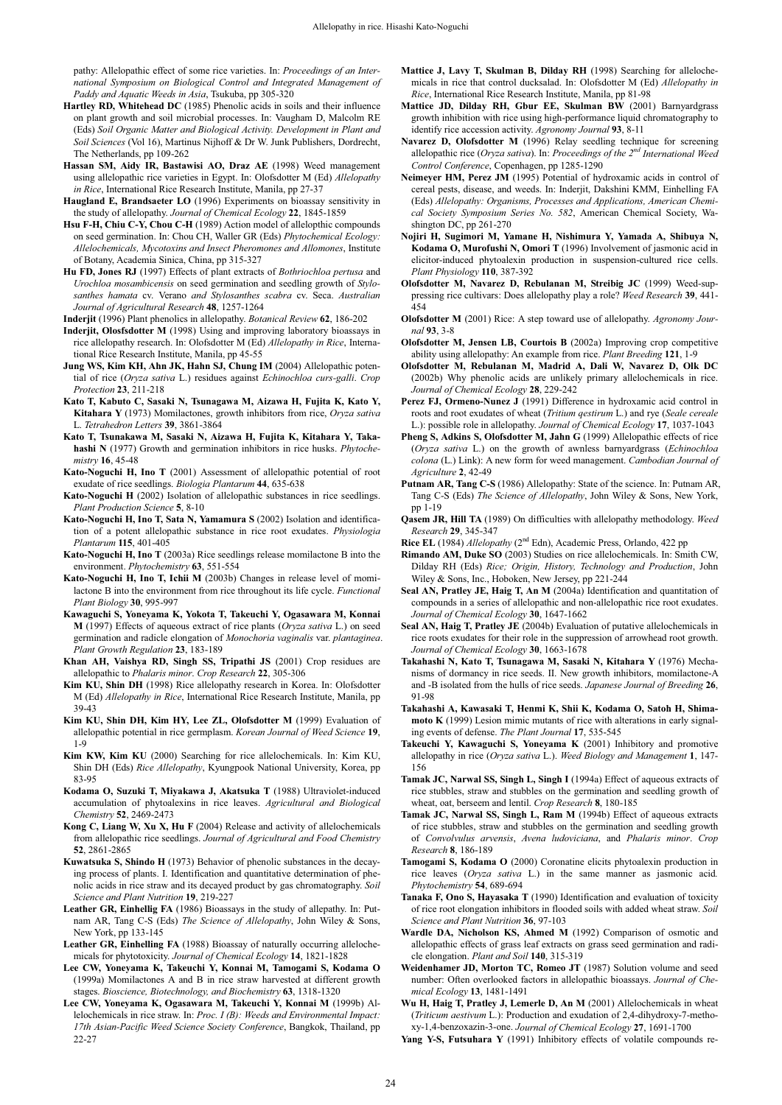pathy: Allelopathic effect of some rice varieties. In: *Proceedings of an International Symposium on Biological Control and Integrated Management of Paddy and Aquatic Weeds in Asia*, Tsukuba, pp 305-320

- **Hartley RD, Whitehead DC** (1985) Phenolic acids in soils and their influence on plant growth and soil microbial processes. In: Vaugham D, Malcolm RE (Eds) *Soil Organic Matter and Biological Activity. Development in Plant and Soil Sciences* (Vol 16), Martinus Nijhoff & Dr W. Junk Publishers, Dordrecht, The Netherlands, pp 109-262
- **Hassan SM, Aidy IR, Bastawisi AO, Draz AE** (1998) Weed management using allelopathic rice varieties in Egypt. In: Olofsdotter M (Ed) *Allelopathy in Rice*, International Rice Research Institute, Manila, pp 27-37
- **Haugland E, Brandsaeter LO** (1996) Experiments on bioassay sensitivity in the study of allelopathy. *Journal of Chemical Ecology* **22**, 1845-1859
- **Hsu F-H, Chiu C-Y, Chou C-H** (1989) Action model of allelopthic compounds on seed germination. In: Chou CH, Waller GR (Eds) *Phytochemical Ecology: Allelochemicals, Mycotoxins and Insect Pheromones and Allomones*, Institute of Botany, Academia Sinica, China, pp 315-327
- **Hu FD, Jones RJ** (1997) Effects of plant extracts of *Bothriochloa pertusa* and *Urochloa mosambicensis* on seed germination and seedling growth of *Stylosanthes hamata* cv. Verano *and Stylosanthes scabra* cv. Seca. *Australian Journal of Agricultural Research* **48**, 1257-1264

**Inderjit** (1996) Plant phenolics in allelopathy. *Botanical Review* **62**, 186-202

- **Inderjit, Olosfsdotter M** (1998) Using and improving laboratory bioassays in rice allelopathy research. In: Olofsdotter M (Ed) *Allelopathy in Rice*, International Rice Research Institute, Manila, pp 45-55
- **Jung WS, Kim KH, Ahn JK, Hahn SJ, Chung IM** (2004) Allelopathic potential of rice (*Oryza sativa* L.) residues against *Echinochloa curs-galli*. *Crop Protection* **23**, 211-218
- **Kato T, Kabuto C, Sasaki N, Tsunagawa M, Aizawa H, Fujita K, Kato Y, Kitahara Y** (1973) Momilactones, growth inhibitors from rice, *Oryza sativa* L. *Tetrahedron Letters* **39**, 3861-3864
- **Kato T, Tsunakawa M, Sasaki N, Aizawa H, Fujita K, Kitahara Y, Takahashi N** (1977) Growth and germination inhibitors in rice husks. *Phytochemistry* **16**, 45-48
- **Kato-Noguchi H, Ino T** (2001) Assessment of allelopathic potential of root exudate of rice seedlings. *Biologia Plantarum* **44**, 635-638
- **Kato-Noguchi H** (2002) Isolation of allelopathic substances in rice seedlings. *Plant Production Science* **5**, 8-10
- **Kato-Noguchi H, Ino T, Sata N, Yamamura S** (2002) Isolation and identification of a potent allelopathic substance in rice root exudates. *Physiologia Plantarum* **115**, 401-405
- **Kato-Noguchi H, Ino T** (2003a) Rice seedlings release momilactone B into the environment. *Phytochemistry* **63**, 551-554
- **Kato-Noguchi H, Ino T, Ichii M** (2003b) Changes in release level of momilactone B into the environment from rice throughout its life cycle. *Functional Plant Biology* **30**, 995-997
- **Kawaguchi S, Yoneyama K, Yokota T, Takeuchi Y, Ogasawara M, Konnai M** (1997) Effects of aqueous extract of rice plants (*Oryza sativa* L.) on seed germination and radicle elongation of *Monochoria vaginalis* var. *plantaginea*. *Plant Growth Regulation* **23**, 183-189
- **Khan AH, Vaishya RD, Singh SS, Tripathi JS** (2001) Crop residues are allelopathic to *Phalaris minor*. *Crop Research* **22**, 305-306
- **Kim KU, Shin DH** (1998) Rice allelopathy research in Korea. In: Olofsdotter M (Ed) *Allelopathy in Rice*, International Rice Research Institute, Manila, pp 39-43
- **Kim KU, Shin DH, Kim HY, Lee ZL, Olofsdotter M** (1999) Evaluation of allelopathic potential in rice germplasm. *Korean Journal of Weed Science* **19**, 1-9
- **Kim KW, Kim KU** (2000) Searching for rice allelochemicals. In: Kim KU, Shin DH (Eds) *Rice Allelopathy*, Kyungpook National University, Korea, pp 83-95
- **Kodama O, Suzuki T, Miyakawa J, Akatsuka T** (1988) Ultraviolet-induced accumulation of phytoalexins in rice leaves. *Agricultural and Biological Chemistry* **52**, 2469-2473
- **Kong C, Liang W, Xu X, Hu F** (2004) Release and activity of allelochemicals from allelopathic rice seedlings. *Journal of Agricultural and Food Chemistry* **52**, 2861-2865
- **Kuwatsuka S, Shindo H** (1973) Behavior of phenolic substances in the decaying process of plants. I. Identification and quantitative determination of phenolic acids in rice straw and its decayed product by gas chromatography. *Soil Science and Plant Nutrition* **19**, 219-227
- **Leather GR, Einhellig FA** (1986) Bioassays in the study of allepathy. In: Putnam AR, Tang C-S (Eds) *The Science of Allelopathy*, John Wiley & Sons, New York, pp 133-145
- **Leather GR, Einhelling FA** (1988) Bioassay of naturally occurring allelochemicals for phytotoxicity. *Journal of Chemical Ecology* **14**, 1821-1828
- **Lee CW, Yoneyama K, Takeuchi Y, Konnai M, Tamogami S, Kodama O** (1999a) Momilactones A and B in rice straw harvested at different growth stages. *Bioscience, Biotechnology, and Biochemistry* **63**, 1318-1320
- **Lee CW, Yoneyama K, Ogasawara M, Takeuchi Y, Konnai M** (1999b) Allelochemicals in rice straw. In: *Proc. I (B): Weeds and Environmental Impact: 17th Asian-Pacific Weed Science Society Conference*, Bangkok, Thailand, pp 22-27
- **Mattice J, Lavy T, Skulman B, Dilday RH** (1998) Searching for allelochemicals in rice that control ducksalad. In: Olofsdotter M (Ed) *Allelopathy in Rice*, International Rice Research Institute, Manila, pp 81-98
- **Mattice JD, Dilday RH, Gbur EE, Skulman BW** (2001) Barnyardgrass growth inhibition with rice using high-performance liquid chromatography to identify rice accession activity. *Agronomy Journal* **93**, 8-11
- **Navarez D, Olofsdotter M** (1996) Relay seedling technique for screening allelopathic rice (*Oryza sativa*). In: *Proceedings of the 2nd International Weed Control Conference*, Copenhagen, pp 1285-1290
- **Neimeyer HM, Perez JM** (1995) Potential of hydroxamic acids in control of cereal pests, disease, and weeds. In: Inderjit, Dakshini KMM, Einhelling FA (Eds) *Allelopathy: Organisms, Processes and Applications, American Chemical Society Symposium Series No. 582*, American Chemical Society, Washington DC, pp 261-270
- **Nojiri H, Sugimori M, Yamane H, Nishimura Y, Yamada A, Shibuya N, Kodama O, Murofushi N, Omori T** (1996) Involvement of jasmonic acid in elicitor-induced phytoalexin production in suspension-cultured rice cells. *Plant Physiology* **110**, 387-392
- **Olofsdotter M, Navarez D, Rebulanan M, Streibig JC** (1999) Weed-suppressing rice cultivars: Does allelopathy play a role? *Weed Research* **39**, 441- 454
- **Olofsdotter M** (2001) Rice: A step toward use of allelopathy. *Agronomy Journal* **93**, 3-8
- **Olofsdotter M, Jensen LB, Courtois B** (2002a) Improving crop competitive ability using allelopathy: An example from rice. *Plant Breeding* **121**, 1-9
- **Olofsdotter M, Rebulanan M, Madrid A, Dali W, Navarez D, Olk DC** (2002b) Why phenolic acids are unlikely primary allelochemicals in rice. *Journal of Chemical Ecology* **28**, 229-242
- Perez FJ, Ormeno-Nunez J (1991) Difference in hydroxamic acid control in roots and root exudates of wheat (*Tritium qestirum* L.) and rye (*Seale cereale* L.): possible role in allelopathy. *Journal of Chemical Ecology* **17**, 1037-1043
- **Pheng S, Adkins S, Olofsdotter M, Jahn G** (1999) Allelopathic effects of rice (*Oryza sativa* L.) on the growth of awnless barnyardgrass (*Echinochloa colona* (L.) Link): A new form for weed management. *Cambodian Journal of Agriculture* **2**, 42-49
- **Putnam AR, Tang C-S** (1986) Allelopathy: State of the science. In: Putnam AR, Tang C-S (Eds) *The Science of Allelopathy*, John Wiley & Sons, New York, pp 1-19
- **Qasem JR, Hill TA** (1989) On difficulties with allelopathy methodology. *Weed Research* **29**, 345-347
- **Rice EL** (1984) *Allelopathy* (2<sup>nd</sup> Edn), Academic Press, Orlando, 422 pp
- **Rimando AM, Duke SO** (2003) Studies on rice allelochemicals. In: Smith CW, Dilday RH (Eds) *Rice; Origin, History, Technology and Production*, John Wiley & Sons, Inc., Hoboken, New Jersey, pp 221-244
- **Seal AN, Pratley JE, Haig T, An M** (2004a) Identification and quantitation of compounds in a series of allelopathic and non-allelopathic rice root exudates. *Journal of Chemical Ecology* **30**, 1647-1662
- **Seal AN, Haig T, Pratley JE** (2004b) Evaluation of putative allelochemicals in rice roots exudates for their role in the suppression of arrowhead root growth. *Journal of Chemical Ecology* **30**, 1663-1678
- **Takahashi N, Kato T, Tsunagawa M, Sasaki N, Kitahara Y** (1976) Mechanisms of dormancy in rice seeds. II. New growth inhibitors, momilactone-A and -B isolated from the hulls of rice seeds. *Japanese Journal of Breeding* **26**, 91-98
- **Takahashi A, Kawasaki T, Henmi K, Shii K, Kodama O, Satoh H, Shimamoto K** (1999) Lesion mimic mutants of rice with alterations in early signaling events of defense. *The Plant Journal* **17**, 535-545
- **Takeuchi Y, Kawaguchi S, Yoneyama K** (2001) Inhibitory and promotive allelopathy in rice (*Oryza sativa* L.). *Weed Biology and Management* **1**, 147- 156
- **Tamak JC, Narwal SS, Singh L, Singh I** (1994a) Effect of aqueous extracts of rice stubbles, straw and stubbles on the germination and seedling growth of wheat, oat, berseem and lentil. *Crop Research* **8**, 180-185
- **Tamak JC, Narwal SS, Singh L, Ram M** (1994b) Effect of aqueous extracts of rice stubbles, straw and stubbles on the germination and seedling growth of *Convolvulus arvensis*, *Avena ludoviciana*, and *Phalaris minor*. *Crop Research* **8**, 186-189
- **Tamogami S, Kodama O** (2000) Coronatine elicits phytoalexin production in rice leaves (*Oryza sativa* L.) in the same manner as jasmonic acid*. Phytochemistry* **54**, 689-694
- **Tanaka F, Ono S, Hayasaka T** (1990) Identification and evaluation of toxicity of rice root elongation inhibitors in flooded soils with added wheat straw. *Soil Science and Plant Nutrition* **36**, 97-103
- **Wardle DA, Nicholson KS, Ahmed M** (1992) Comparison of osmotic and allelopathic effects of grass leaf extracts on grass seed germination and radicle elongation. *Plant and Soil* **140**, 315-319
- **Weidenhamer JD, Morton TC, Romeo JT** (1987) Solution volume and seed number: Often overlooked factors in allelopathic bioassays. *Journal of Chemical Ecology* **13**, 1481-1491
- **Wu H, Haig T, Pratley J, Lemerle D, An M** (2001) Allelochemicals in wheat (*Triticum aestivum* L.): Production and exudation of 2,4-dihydroxy-7-methoxy-1,4-benzoxazin-3-one. *Journal of Chemical Ecology* **27**, 1691-1700
- **Yang Y-S, Futsuhara Y** (1991) Inhibitory effects of volatile compounds re-